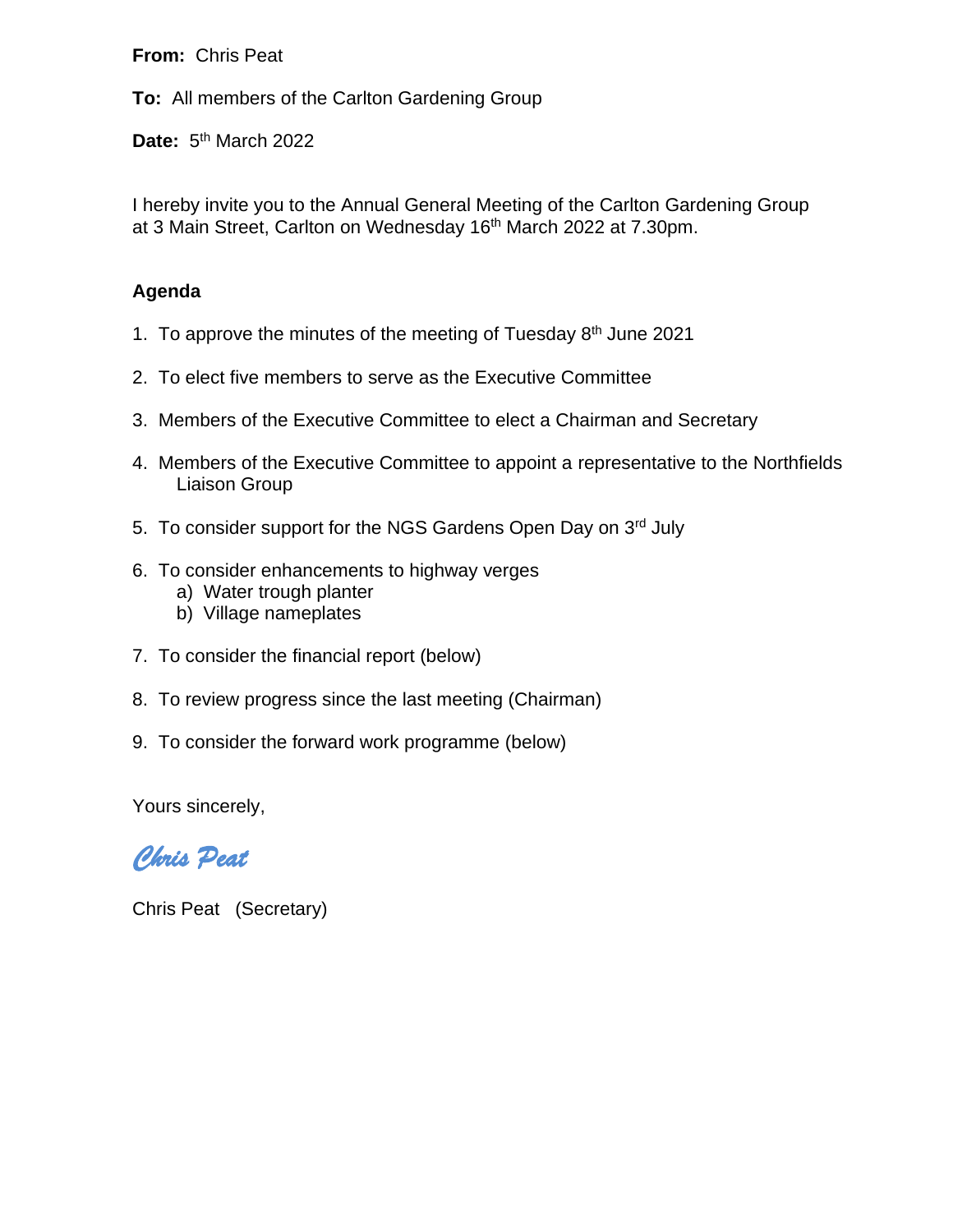**From:** Chris Peat

**To:** All members of the Carlton Gardening Group

Date: 5<sup>th</sup> March 2022

I hereby invite you to the Annual General Meeting of the Carlton Gardening Group at 3 Main Street, Carlton on Wednesday 16<sup>th</sup> March 2022 at 7.30pm.

## **Agenda**

- 1. To approve the minutes of the meeting of Tuesday  $8<sup>th</sup>$  June 2021
- 2. To elect five members to serve as the Executive Committee
- 3. Members of the Executive Committee to elect a Chairman and Secretary
- 4. Members of the Executive Committee to appoint a representative to the Northfields Liaison Group
- 5. To consider support for the NGS Gardens Open Day on 3rd July
- 6. To consider enhancements to highway verges
	- a) Water trough planter
	- b) Village nameplates
- 7. To consider the financial report (below)
- 8. To review progress since the last meeting (Chairman)
- 9. To consider the forward work programme (below)

Yours sincerely,

*Chris Peat* 

Chris Peat (Secretary)